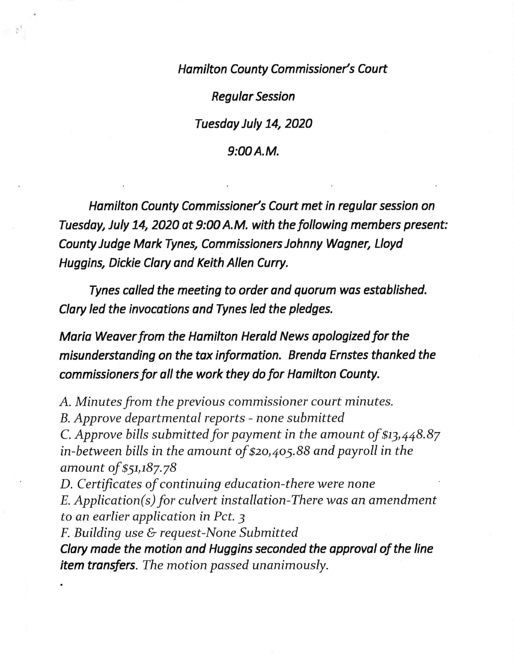Hamilton County Commissioner's Court

Regulor Session

Tuesdoy July 74, 2020

## 9:00A.M.

Hamilton County Commissioner's Court met in regular session on Tuesday, July 14, 2020 at 9:00 A.M. with the following members present: County Judge Mark Tynes, Commissioners Johnny Wogner, Lloyd Huggins, Dickie Clory and Keith Allen Curry.

Tynes colled the meeting to order ond quorum was estoblished. Clary led the invocations and Tynes led the pledges.

Maria Weaver from the Hamilton Herald News opologized for the misunderstanding on the tox information. Brenda Ernstes thonked the commissioners for oll the work they do for Hamilton County.

A. Minutes from the previous commissioner court minutes. B. Approve departmental reports - none submitted C. Approve bills submitted for payment in the amount of  $$13,448.87$ in-between bills in the amount of \$zo,4o5.B8 and payroll in the amount of \$51,187.78 D. Certificates of continuing education-there were none  $E.$  Application(s) for culvert installation-There was an amendment to an earlier application in Pct. 3 F. Building use & request-None Submitted Clary made the motion and Huggins seconded the approval of the line

item transfers. The motion passed unanimously.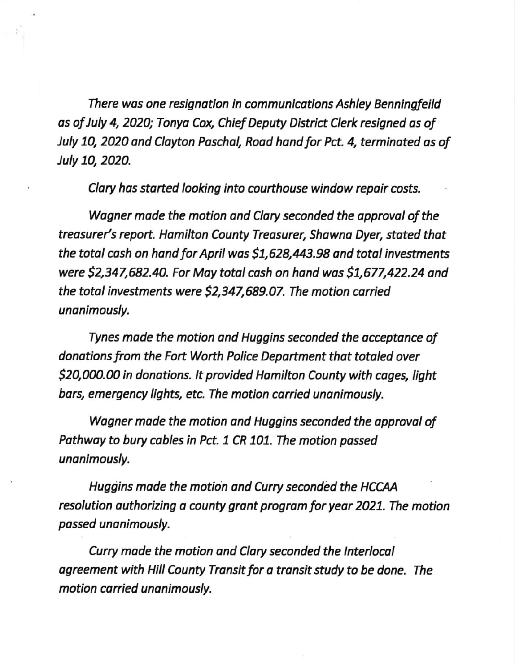There was one resignotion in communications Ashley Benningfeild as of July 4, 2020; Tonya Cox, Chief Deputy District Clerk resigned as of July 10, 2020 and Clayton Paschal, Road hand for Pct. 4, terminated as of July 10,2O2O.

Clary has started looking into courthouse window repair costs.

Wagner made the motion and Clary seconded the approval of the treasurer's report. Hamilton County Treasurer, Shawna Dyer, stated that the total cash on hand for April was \$1,628,443.98 and total investments were \$2,347,682.40. For Moy totol cash on hond wos 51,677,422.24 and the total investments were \$2,347,689.07. The motion carried unanimously.

Tynes mode the motion and Huggins seconded the occeptonce of donations from the Fort Worth Police Department that totaled over \$20,000.00 in donations. It provided Hamilton County with cages, light bars, emergency lights, etc. The motion carried unanimously.

Wagner made the motion and Huggins seconded the approval of Pathway to bury cables in Pct. 1 CR 101. The motion passed unanimously.

Huggins made the motion and Curry seconded the HCCAA resolution authorizing a county grant program for year 2021. The motion passed unanimously.

Curry made the motion and Clary seconded the Interlocal agreement with Hill County Tronsit fot a transit study to be done. The motion carried unanimously.